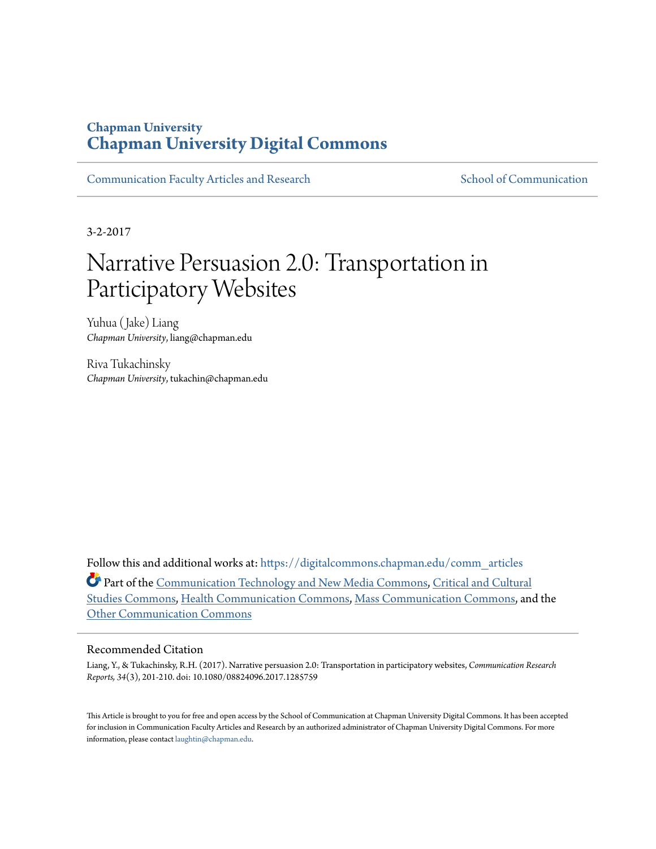## **Chapman University [Chapman University Digital Commons](https://digitalcommons.chapman.edu?utm_source=digitalcommons.chapman.edu%2Fcomm_articles%2F44&utm_medium=PDF&utm_campaign=PDFCoverPages)**

[Communication Faculty Articles and Research](https://digitalcommons.chapman.edu/comm_articles?utm_source=digitalcommons.chapman.edu%2Fcomm_articles%2F44&utm_medium=PDF&utm_campaign=PDFCoverPages) [School of Communication](https://digitalcommons.chapman.edu/communication?utm_source=digitalcommons.chapman.edu%2Fcomm_articles%2F44&utm_medium=PDF&utm_campaign=PDFCoverPages)

3-2-2017

# Narrative Persuasion 2.0: Transportation in Participatory Websites

Yuhua (Jake) Liang *Chapman University*, liang@chapman.edu

Riva Tukachinsky *Chapman University*, tukachin@chapman.edu

Follow this and additional works at: [https://digitalcommons.chapman.edu/comm\\_articles](https://digitalcommons.chapman.edu/comm_articles?utm_source=digitalcommons.chapman.edu%2Fcomm_articles%2F44&utm_medium=PDF&utm_campaign=PDFCoverPages) Part of the [Communication Technology and New Media Commons](http://network.bepress.com/hgg/discipline/327?utm_source=digitalcommons.chapman.edu%2Fcomm_articles%2F44&utm_medium=PDF&utm_campaign=PDFCoverPages), [Critical and Cultural](http://network.bepress.com/hgg/discipline/328?utm_source=digitalcommons.chapman.edu%2Fcomm_articles%2F44&utm_medium=PDF&utm_campaign=PDFCoverPages) [Studies Commons](http://network.bepress.com/hgg/discipline/328?utm_source=digitalcommons.chapman.edu%2Fcomm_articles%2F44&utm_medium=PDF&utm_campaign=PDFCoverPages), [Health Communication Commons](http://network.bepress.com/hgg/discipline/330?utm_source=digitalcommons.chapman.edu%2Fcomm_articles%2F44&utm_medium=PDF&utm_campaign=PDFCoverPages), [Mass Communication Commons](http://network.bepress.com/hgg/discipline/334?utm_source=digitalcommons.chapman.edu%2Fcomm_articles%2F44&utm_medium=PDF&utm_campaign=PDFCoverPages), and the [Other Communication Commons](http://network.bepress.com/hgg/discipline/339?utm_source=digitalcommons.chapman.edu%2Fcomm_articles%2F44&utm_medium=PDF&utm_campaign=PDFCoverPages)

#### Recommended Citation

Liang, Y., & Tukachinsky, R.H. (2017). Narrative persuasion 2.0: Transportation in participatory websites, *Communication Research Reports, 34*(3), 201-210. doi: 10.1080/08824096.2017.1285759

This Article is brought to you for free and open access by the School of Communication at Chapman University Digital Commons. It has been accepted for inclusion in Communication Faculty Articles and Research by an authorized administrator of Chapman University Digital Commons. For more information, please contact [laughtin@chapman.edu](mailto:laughtin@chapman.edu).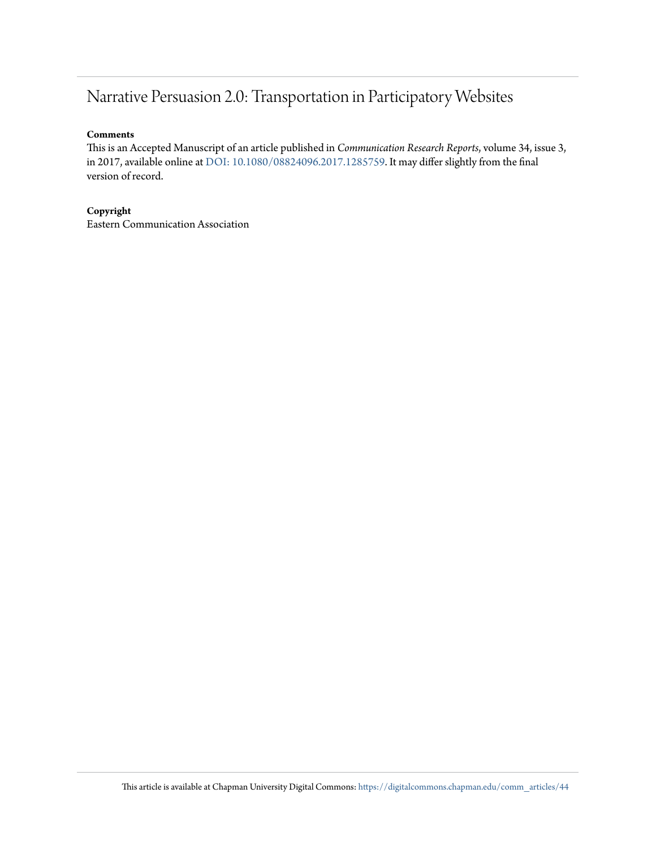# Narrative Persuasion 2.0: Transportation in Participatory Websites

#### **Comments**

This is an Accepted Manuscript of an article published in *Communication Research Reports*, volume 34, issue 3, in 2017, available online at [DOI: 10.1080/08824096.2017.1285759](http://dx.doi.org/10.1080/08824096.2017.1285759). It may differ slightly from the final version of record.

#### **Copyright**

Eastern Communication Association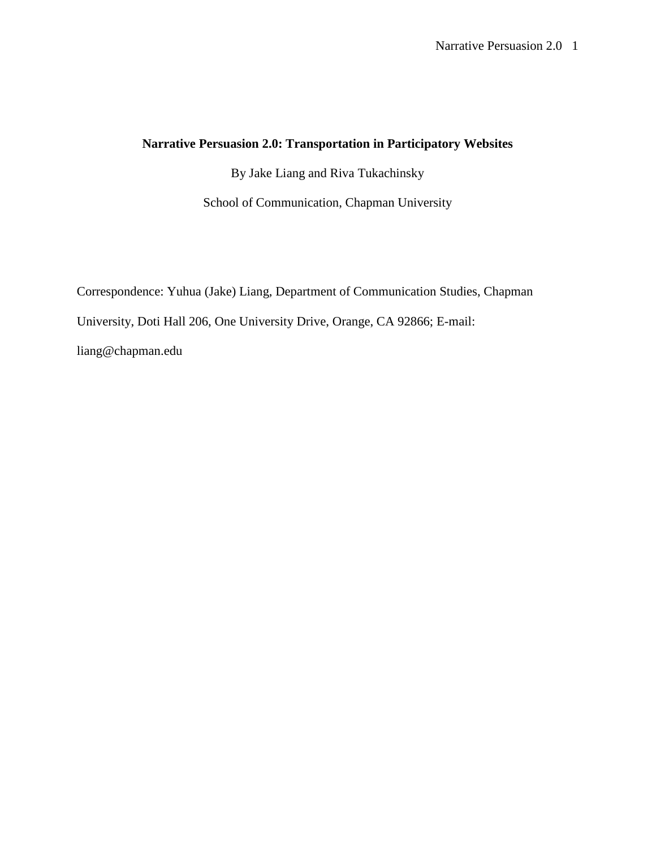### **Narrative Persuasion 2.0: Transportation in Participatory Websites**

By Jake Liang and Riva Tukachinsky

School of Communication, Chapman University

Correspondence: Yuhua (Jake) Liang, Department of Communication Studies, Chapman University, Doti Hall 206, One University Drive, Orange, CA 92866; E-mail: liang@chapman.edu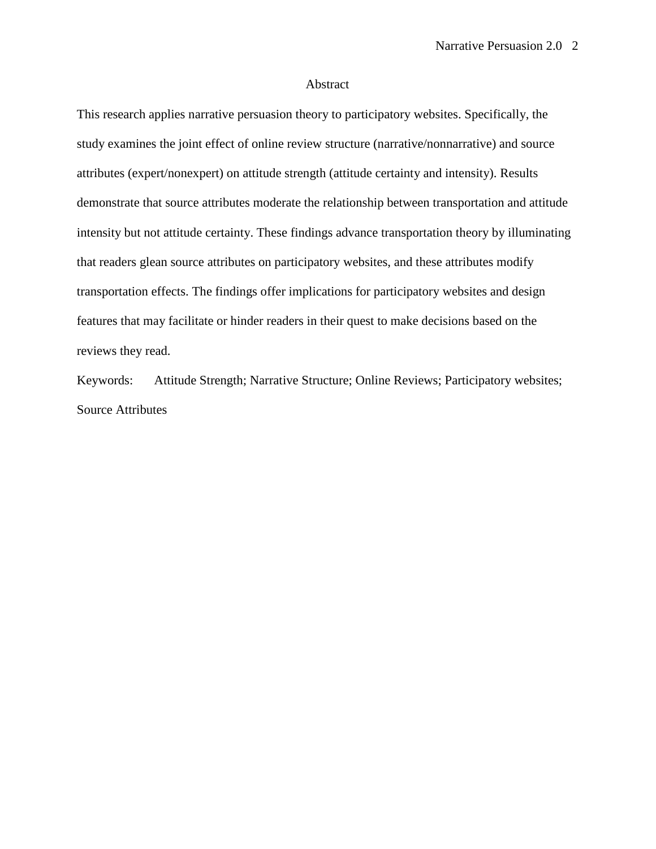#### Abstract

This research applies narrative persuasion theory to participatory websites. Specifically, the study examines the joint effect of online review structure (narrative/nonnarrative) and source attributes (expert/nonexpert) on attitude strength (attitude certainty and intensity). Results demonstrate that source attributes moderate the relationship between transportation and attitude intensity but not attitude certainty. These findings advance transportation theory by illuminating that readers glean source attributes on participatory websites, and these attributes modify transportation effects. The findings offer implications for participatory websites and design features that may facilitate or hinder readers in their quest to make decisions based on the reviews they read.

Keywords: Attitude Strength; Narrative Structure; Online Reviews; Participatory websites; Source Attributes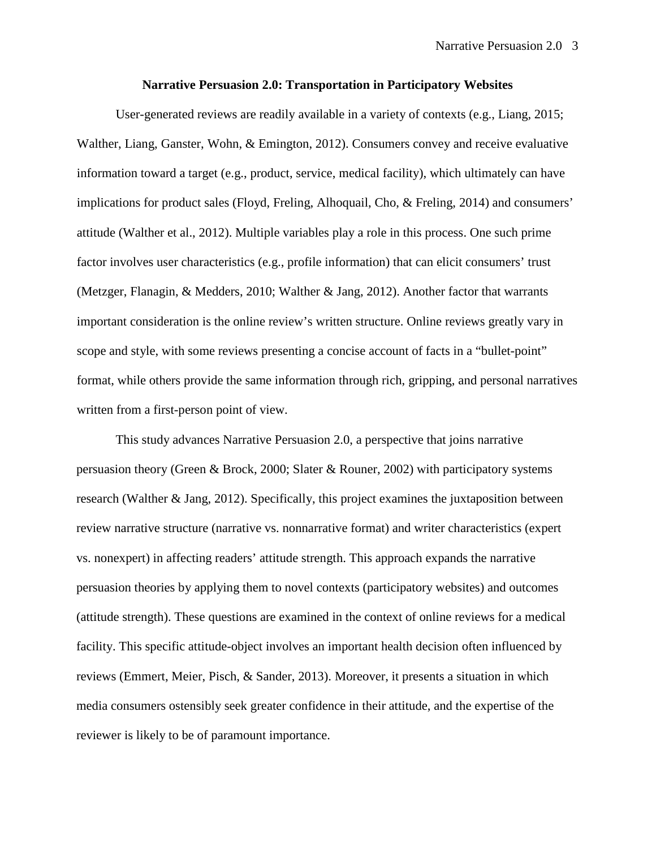#### **Narrative Persuasion 2.0: Transportation in Participatory Websites**

User-generated reviews are readily available in a variety of contexts (e.g., Liang, 2015; Walther, Liang, Ganster, Wohn, & Emington, 2012). Consumers convey and receive evaluative information toward a target (e.g., product, service, medical facility), which ultimately can have implications for product sales (Floyd, Freling, Alhoquail, Cho, & Freling, 2014) and consumers' attitude (Walther et al., 2012). Multiple variables play a role in this process. One such prime factor involves user characteristics (e.g., profile information) that can elicit consumers' trust (Metzger, Flanagin, & Medders, 2010; Walther & Jang, 2012). Another factor that warrants important consideration is the online review's written structure. Online reviews greatly vary in scope and style, with some reviews presenting a concise account of facts in a "bullet-point" format, while others provide the same information through rich, gripping, and personal narratives written from a first-person point of view.

This study advances Narrative Persuasion 2.0, a perspective that joins narrative persuasion theory (Green & Brock, 2000; Slater & Rouner, 2002) with participatory systems research (Walther & Jang, 2012). Specifically, this project examines the juxtaposition between review narrative structure (narrative vs. nonnarrative format) and writer characteristics (expert vs. nonexpert) in affecting readers' attitude strength. This approach expands the narrative persuasion theories by applying them to novel contexts (participatory websites) and outcomes (attitude strength). These questions are examined in the context of online reviews for a medical facility. This specific attitude-object involves an important health decision often influenced by reviews (Emmert, Meier, Pisch, & Sander, 2013). Moreover, it presents a situation in which media consumers ostensibly seek greater confidence in their attitude, and the expertise of the reviewer is likely to be of paramount importance.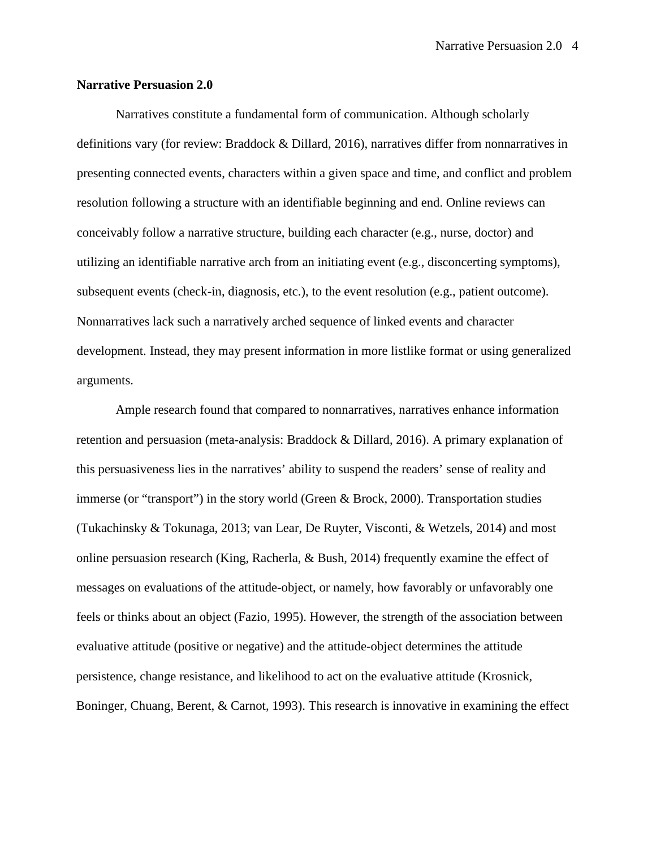#### **Narrative Persuasion 2.0**

Narratives constitute a fundamental form of communication. Although scholarly definitions vary (for review: Braddock & Dillard, 2016), narratives differ from nonnarratives in presenting connected events, characters within a given space and time, and conflict and problem resolution following a structure with an identifiable beginning and end. Online reviews can conceivably follow a narrative structure, building each character (e.g., nurse, doctor) and utilizing an identifiable narrative arch from an initiating event (e.g., disconcerting symptoms), subsequent events (check-in, diagnosis, etc.), to the event resolution (e.g., patient outcome). Nonnarratives lack such a narratively arched sequence of linked events and character development. Instead, they may present information in more listlike format or using generalized arguments.

Ample research found that compared to nonnarratives, narratives enhance information retention and persuasion (meta-analysis: Braddock & Dillard, 2016). A primary explanation of this persuasiveness lies in the narratives' ability to suspend the readers' sense of reality and immerse (or "transport") in the story world (Green & Brock, 2000). Transportation studies (Tukachinsky & Tokunaga, 2013; van Lear, De Ruyter, Visconti, & Wetzels, 2014) and most online persuasion research (King, Racherla, & Bush, 2014) frequently examine the effect of messages on evaluations of the attitude-object, or namely, how favorably or unfavorably one feels or thinks about an object (Fazio, 1995). However, the strength of the association between evaluative attitude (positive or negative) and the attitude-object determines the attitude persistence, change resistance, and likelihood to act on the evaluative attitude (Krosnick, Boninger, Chuang, Berent, & Carnot, 1993). This research is innovative in examining the effect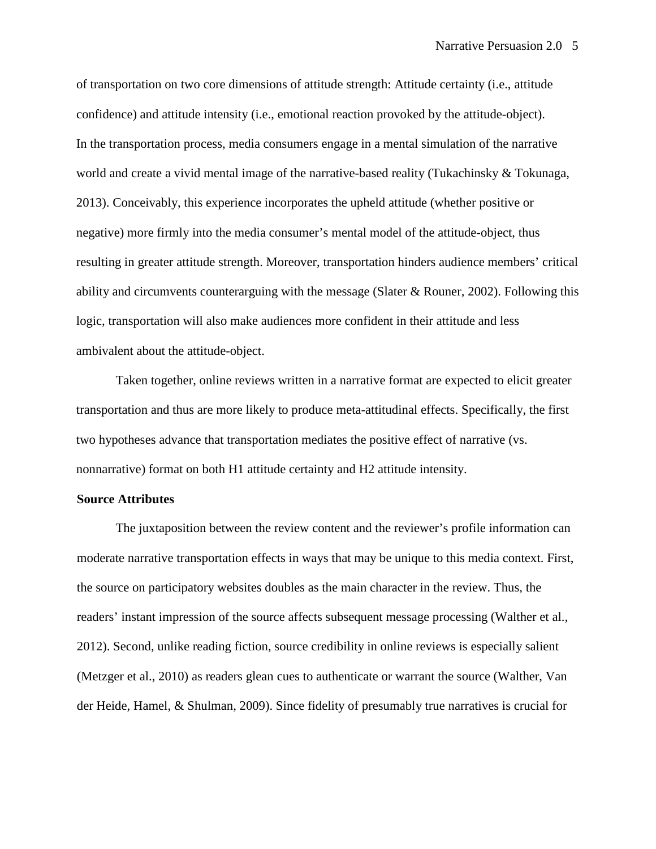of transportation on two core dimensions of attitude strength: Attitude certainty (i.e., attitude confidence) and attitude intensity (i.e., emotional reaction provoked by the attitude-object). In the transportation process, media consumers engage in a mental simulation of the narrative world and create a vivid mental image of the narrative-based reality (Tukachinsky & Tokunaga, 2013). Conceivably, this experience incorporates the upheld attitude (whether positive or negative) more firmly into the media consumer's mental model of the attitude-object, thus resulting in greater attitude strength. Moreover, transportation hinders audience members' critical ability and circumvents counterarguing with the message (Slater  $\&$  Rouner, 2002). Following this logic, transportation will also make audiences more confident in their attitude and less ambivalent about the attitude-object.

Taken together, online reviews written in a narrative format are expected to elicit greater transportation and thus are more likely to produce meta-attitudinal effects. Specifically, the first two hypotheses advance that transportation mediates the positive effect of narrative (vs. nonnarrative) format on both H1 attitude certainty and H2 attitude intensity.

#### **Source Attributes**

The juxtaposition between the review content and the reviewer's profile information can moderate narrative transportation effects in ways that may be unique to this media context. First, the source on participatory websites doubles as the main character in the review. Thus, the readers' instant impression of the source affects subsequent message processing (Walther et al., 2012). Second, unlike reading fiction, source credibility in online reviews is especially salient (Metzger et al., 2010) as readers glean cues to authenticate or warrant the source (Walther, Van der Heide, Hamel, & Shulman, 2009). Since fidelity of presumably true narratives is crucial for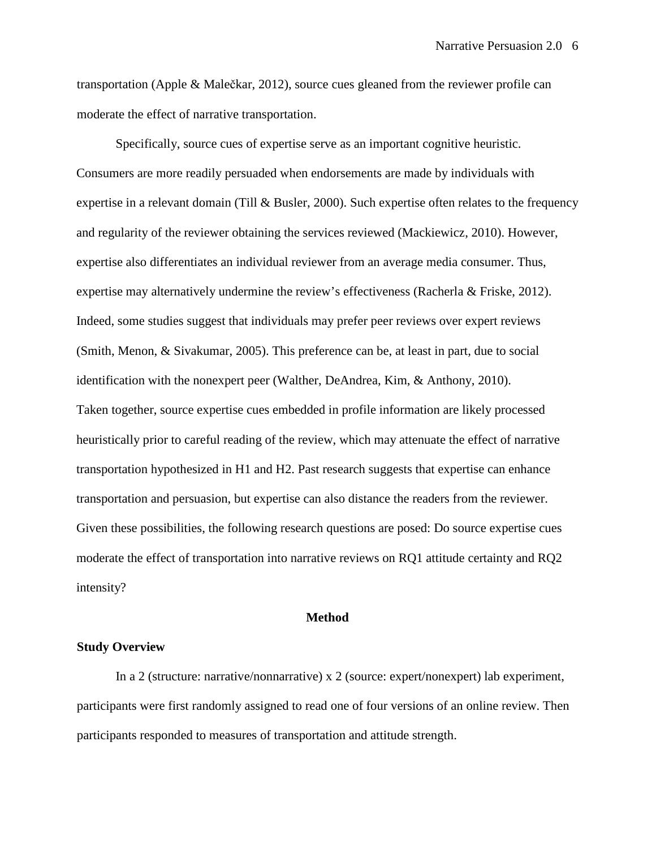transportation (Apple & Malečkar, 2012), source cues gleaned from the reviewer profile can moderate the effect of narrative transportation.

Specifically, source cues of expertise serve as an important cognitive heuristic. Consumers are more readily persuaded when endorsements are made by individuals with expertise in a relevant domain (Till & Busler, 2000). Such expertise often relates to the frequency and regularity of the reviewer obtaining the services reviewed (Mackiewicz, 2010). However, expertise also differentiates an individual reviewer from an average media consumer. Thus, expertise may alternatively undermine the review's effectiveness (Racherla & Friske, 2012). Indeed, some studies suggest that individuals may prefer peer reviews over expert reviews (Smith, Menon, & Sivakumar, 2005). This preference can be, at least in part, due to social identification with the nonexpert peer (Walther, DeAndrea, Kim, & Anthony, 2010). Taken together, source expertise cues embedded in profile information are likely processed heuristically prior to careful reading of the review, which may attenuate the effect of narrative transportation hypothesized in H1 and H2. Past research suggests that expertise can enhance transportation and persuasion, but expertise can also distance the readers from the reviewer. Given these possibilities, the following research questions are posed: Do source expertise cues moderate the effect of transportation into narrative reviews on RQ1 attitude certainty and RQ2 intensity?

#### **Method**

#### **Study Overview**

In a 2 (structure: narrative/nonnarrative) x 2 (source: expert/nonexpert) lab experiment, participants were first randomly assigned to read one of four versions of an online review. Then participants responded to measures of transportation and attitude strength.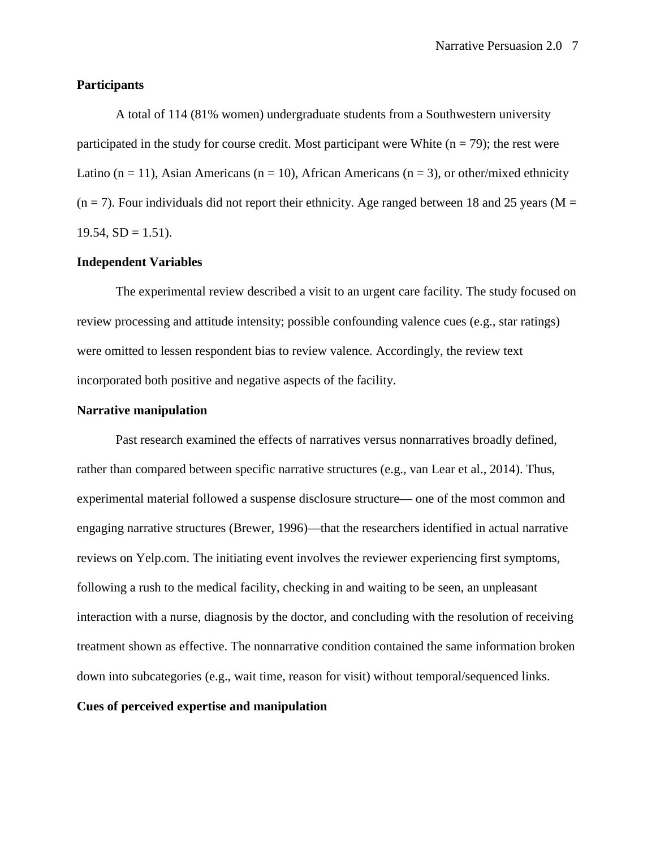#### **Participants**

A total of 114 (81% women) undergraduate students from a Southwestern university participated in the study for course credit. Most participant were White  $(n = 79)$ ; the rest were Latino (n = 11), Asian Americans (n = 10), African Americans (n = 3), or other/mixed ethnicity  $(n = 7)$ . Four individuals did not report their ethnicity. Age ranged between 18 and 25 years (M =  $19.54, SD = 1.51$ .

#### **Independent Variables**

The experimental review described a visit to an urgent care facility. The study focused on review processing and attitude intensity; possible confounding valence cues (e.g., star ratings) were omitted to lessen respondent bias to review valence. Accordingly, the review text incorporated both positive and negative aspects of the facility.

#### **Narrative manipulation**

Past research examined the effects of narratives versus nonnarratives broadly defined, rather than compared between specific narrative structures (e.g., van Lear et al., 2014). Thus, experimental material followed a suspense disclosure structure— one of the most common and engaging narrative structures (Brewer, 1996)—that the researchers identified in actual narrative reviews on Yelp.com. The initiating event involves the reviewer experiencing first symptoms, following a rush to the medical facility, checking in and waiting to be seen, an unpleasant interaction with a nurse, diagnosis by the doctor, and concluding with the resolution of receiving treatment shown as effective. The nonnarrative condition contained the same information broken down into subcategories (e.g., wait time, reason for visit) without temporal/sequenced links.

#### **Cues of perceived expertise and manipulation**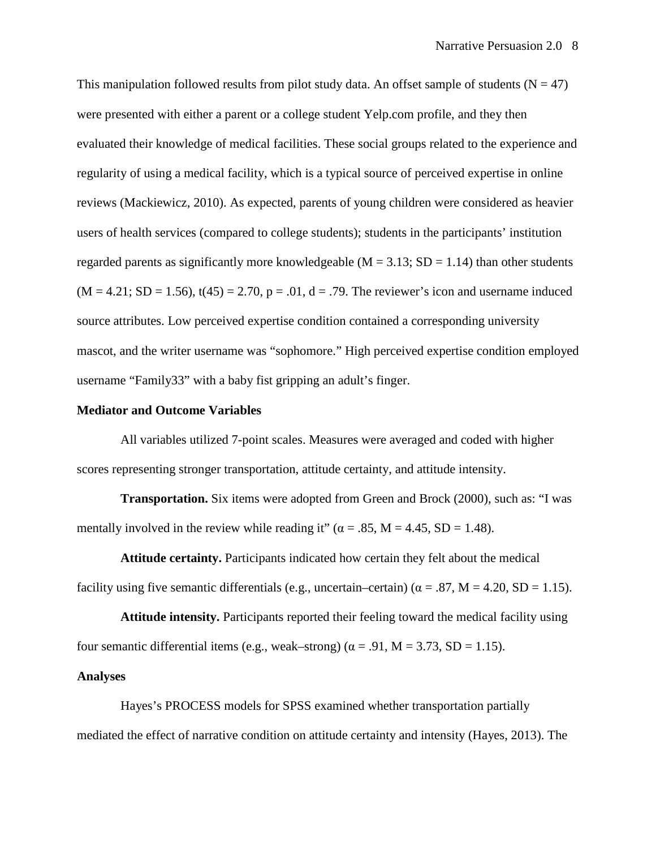This manipulation followed results from pilot study data. An offset sample of students ( $N = 47$ ) were presented with either a parent or a college student Yelp.com profile, and they then evaluated their knowledge of medical facilities. These social groups related to the experience and regularity of using a medical facility, which is a typical source of perceived expertise in online reviews (Mackiewicz, 2010). As expected, parents of young children were considered as heavier users of health services (compared to college students); students in the participants' institution regarded parents as significantly more knowledgeable ( $M = 3.13$ ;  $SD = 1.14$ ) than other students  $(M = 4.21; SD = 1.56)$ ,  $t(45) = 2.70$ ,  $p = .01$ ,  $d = .79$ . The reviewer's icon and username induced source attributes. Low perceived expertise condition contained a corresponding university mascot, and the writer username was "sophomore." High perceived expertise condition employed username "Family33" with a baby fist gripping an adult's finger.

#### **Mediator and Outcome Variables**

All variables utilized 7-point scales. Measures were averaged and coded with higher scores representing stronger transportation, attitude certainty, and attitude intensity.

**Transportation.** Six items were adopted from Green and Brock (2000), such as: "I was mentally involved in the review while reading it" ( $\alpha = .85$ , M = 4.45, SD = 1.48).

**Attitude certainty.** Participants indicated how certain they felt about the medical facility using five semantic differentials (e.g., uncertain–certain) ( $\alpha = .87$ , M = 4.20, SD = 1.15).

**Attitude intensity.** Participants reported their feeling toward the medical facility using four semantic differential items (e.g., weak–strong) ( $\alpha$  = .91, M = 3.73, SD = 1.15).

#### **Analyses**

Hayes's PROCESS models for SPSS examined whether transportation partially mediated the effect of narrative condition on attitude certainty and intensity (Hayes, 2013). The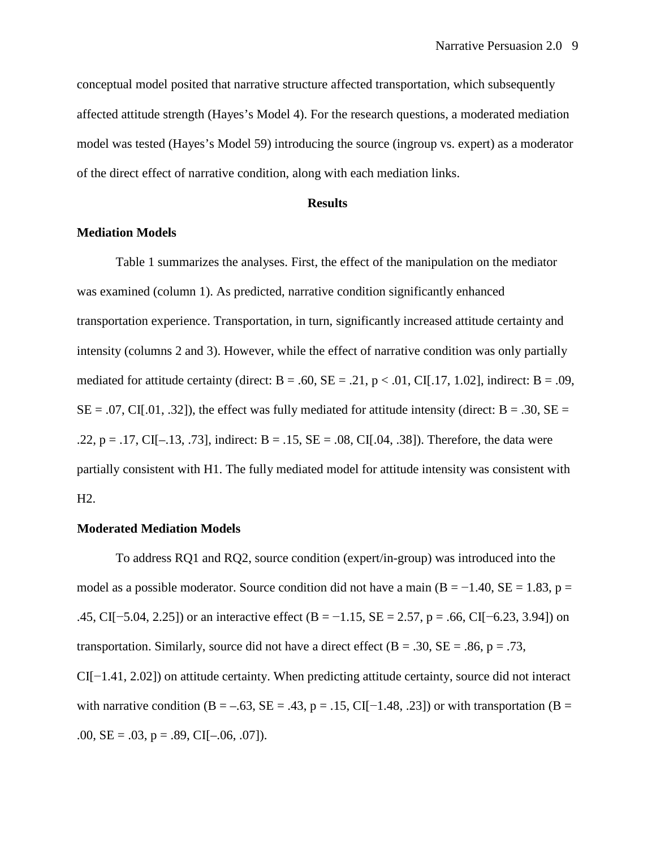conceptual model posited that narrative structure affected transportation, which subsequently affected attitude strength (Hayes's Model 4). For the research questions, a moderated mediation model was tested (Hayes's Model 59) introducing the source (ingroup vs. expert) as a moderator of the direct effect of narrative condition, along with each mediation links.

#### **Results**

#### **Mediation Models**

Table 1 summarizes the analyses. First, the effect of the manipulation on the mediator was examined (column 1). As predicted, narrative condition significantly enhanced transportation experience. Transportation, in turn, significantly increased attitude certainty and intensity (columns 2 and 3). However, while the effect of narrative condition was only partially mediated for attitude certainty (direct:  $B = .60$ ,  $SE = .21$ ,  $p < .01$ , CI[.17, 1.02], indirect:  $B = .09$ ,  $SE = .07$ , CI[.01, .32]), the effect was fully mediated for attitude intensity (direct:  $B = .30$ ,  $SE =$ .22, p = .17, CI[-.13, .73], indirect: B = .15, SE = .08, CI[.04, .38]). Therefore, the data were partially consistent with H1. The fully mediated model for attitude intensity was consistent with H2.

#### **Moderated Mediation Models**

To address RQ1 and RQ2, source condition (expert/in-group) was introduced into the model as a possible moderator. Source condition did not have a main (B =  $-1.40$ , SE = 1.83, p = .45, CI[−5.04, 2.25]) or an interactive effect (B = −1.15, SE = 2.57, p = .66, CI[−6.23, 3.94]) on transportation. Similarly, source did not have a direct effect ( $B = .30$ ,  $SE = .86$ ,  $p = .73$ , CI[−1.41, 2.02]) on attitude certainty. When predicting attitude certainty, source did not interact with narrative condition (B = –.63, SE = .43, p = .15, CI[−1.48, .23]) or with transportation (B = .00,  $SE = .03$ ,  $p = .89$ ,  $CI[-.06, .07]$ ).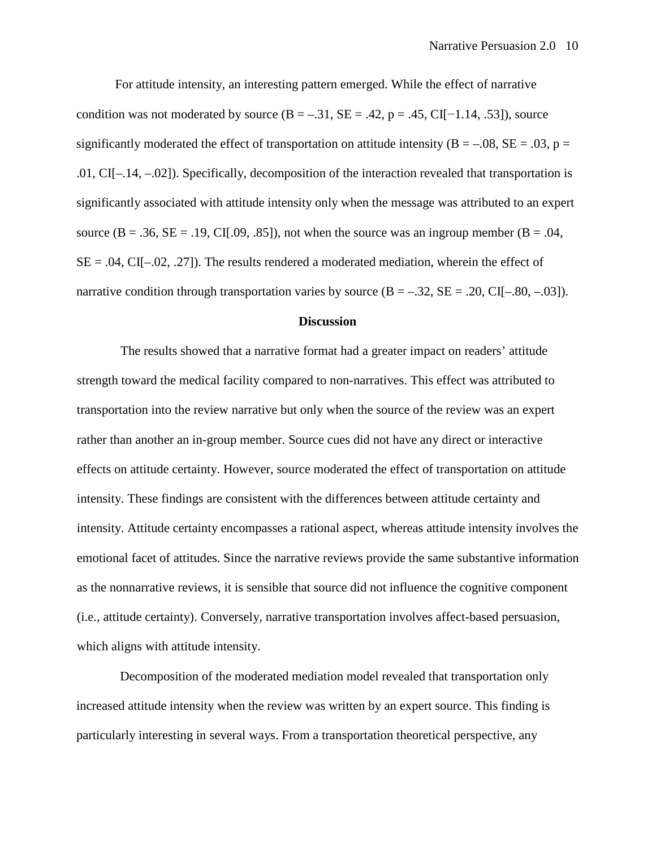For attitude intensity, an interesting pattern emerged. While the effect of narrative condition was not moderated by source  $(B = -.31, SE = .42, p = .45, CI[-1.14, .53])$ , source significantly moderated the effect of transportation on attitude intensity ( $B = -0.08$ ,  $SE = 0.03$ ,  $p =$ .01, CI[–.14, –.02]). Specifically, decomposition of the interaction revealed that transportation is significantly associated with attitude intensity only when the message was attributed to an expert source ( $B = .36$ ,  $SE = .19$ , CI[.09, .85]), not when the source was an ingroup member ( $B = .04$ ,  $SE = .04$ ,  $CI[-.02, .27]$ . The results rendered a moderated mediation, wherein the effect of narrative condition through transportation varies by source  $(B = -.32, SE = .20, CI[-.80, -.03])$ .

#### **Discussion**

The results showed that a narrative format had a greater impact on readers' attitude strength toward the medical facility compared to non-narratives. This effect was attributed to transportation into the review narrative but only when the source of the review was an expert rather than another an in-group member. Source cues did not have any direct or interactive effects on attitude certainty. However, source moderated the effect of transportation on attitude intensity. These findings are consistent with the differences between attitude certainty and intensity. Attitude certainty encompasses a rational aspect, whereas attitude intensity involves the emotional facet of attitudes. Since the narrative reviews provide the same substantive information as the nonnarrative reviews, it is sensible that source did not influence the cognitive component (i.e., attitude certainty). Conversely, narrative transportation involves affect-based persuasion, which aligns with attitude intensity.

Decomposition of the moderated mediation model revealed that transportation only increased attitude intensity when the review was written by an expert source. This finding is particularly interesting in several ways. From a transportation theoretical perspective, any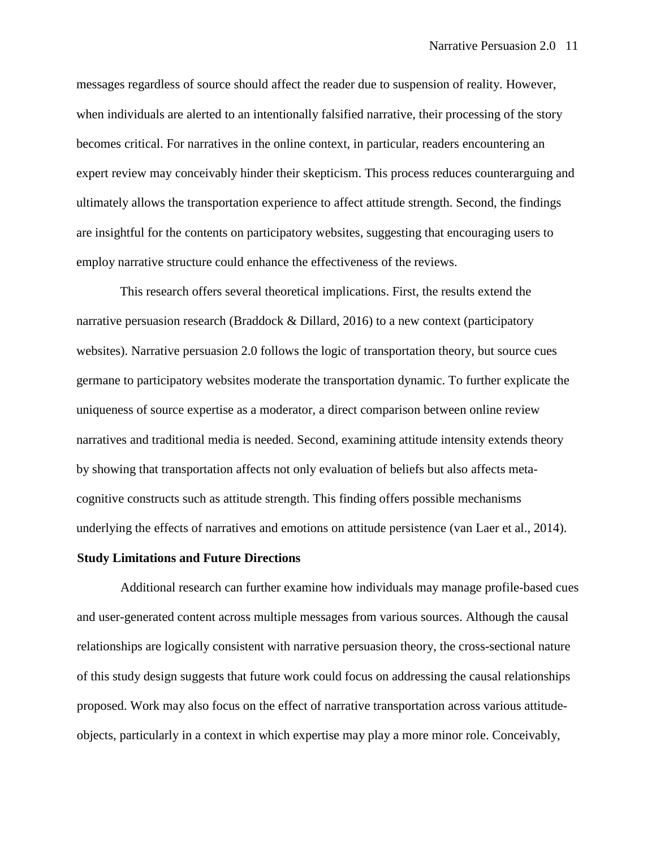messages regardless of source should affect the reader due to suspension of reality. However, when individuals are alerted to an intentionally falsified narrative, their processing of the story becomes critical. For narratives in the online context, in particular, readers encountering an expert review may conceivably hinder their skepticism. This process reduces counterarguing and ultimately allows the transportation experience to affect attitude strength. Second, the findings are insightful for the contents on participatory websites, suggesting that encouraging users to employ narrative structure could enhance the effectiveness of the reviews.

This research offers several theoretical implications. First, the results extend the narrative persuasion research (Braddock  $&$  Dillard, 2016) to a new context (participatory websites). Narrative persuasion 2.0 follows the logic of transportation theory, but source cues germane to participatory websites moderate the transportation dynamic. To further explicate the uniqueness of source expertise as a moderator, a direct comparison between online review narratives and traditional media is needed. Second, examining attitude intensity extends theory by showing that transportation affects not only evaluation of beliefs but also affects metacognitive constructs such as attitude strength. This finding offers possible mechanisms underlying the effects of narratives and emotions on attitude persistence (van Laer et al., 2014).

#### **Study Limitations and Future Directions**

Additional research can further examine how individuals may manage profile-based cues and user-generated content across multiple messages from various sources. Although the causal relationships are logically consistent with narrative persuasion theory, the cross-sectional nature of this study design suggests that future work could focus on addressing the causal relationships proposed. Work may also focus on the effect of narrative transportation across various attitudeobjects, particularly in a context in which expertise may play a more minor role. Conceivably,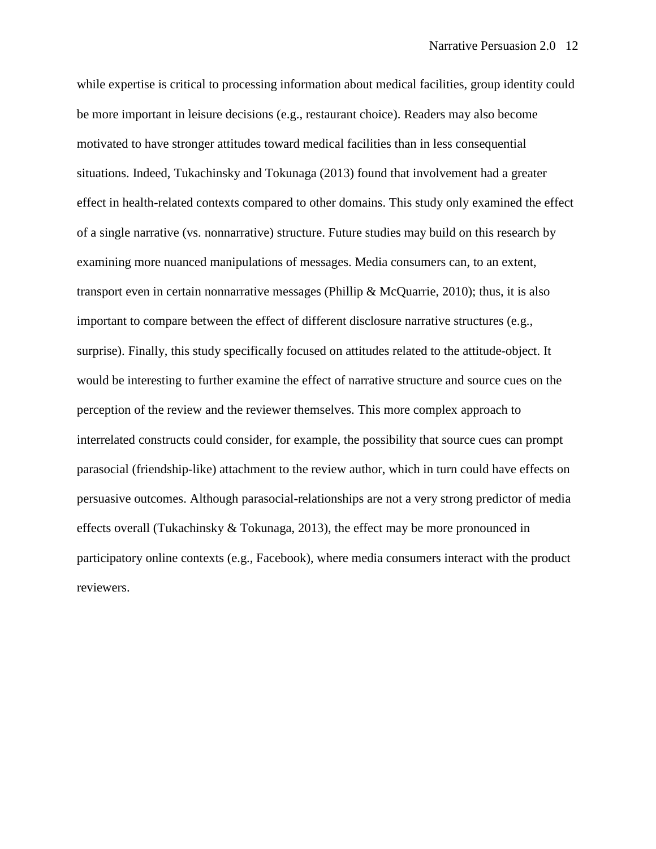while expertise is critical to processing information about medical facilities, group identity could be more important in leisure decisions (e.g., restaurant choice). Readers may also become motivated to have stronger attitudes toward medical facilities than in less consequential situations. Indeed, Tukachinsky and Tokunaga (2013) found that involvement had a greater effect in health-related contexts compared to other domains. This study only examined the effect of a single narrative (vs. nonnarrative) structure. Future studies may build on this research by examining more nuanced manipulations of messages. Media consumers can, to an extent, transport even in certain nonnarrative messages (Phillip & McQuarrie, 2010); thus, it is also important to compare between the effect of different disclosure narrative structures (e.g., surprise). Finally, this study specifically focused on attitudes related to the attitude-object. It would be interesting to further examine the effect of narrative structure and source cues on the perception of the review and the reviewer themselves. This more complex approach to interrelated constructs could consider, for example, the possibility that source cues can prompt parasocial (friendship-like) attachment to the review author, which in turn could have effects on persuasive outcomes. Although parasocial-relationships are not a very strong predictor of media effects overall (Tukachinsky & Tokunaga, 2013), the effect may be more pronounced in participatory online contexts (e.g., Facebook), where media consumers interact with the product reviewers.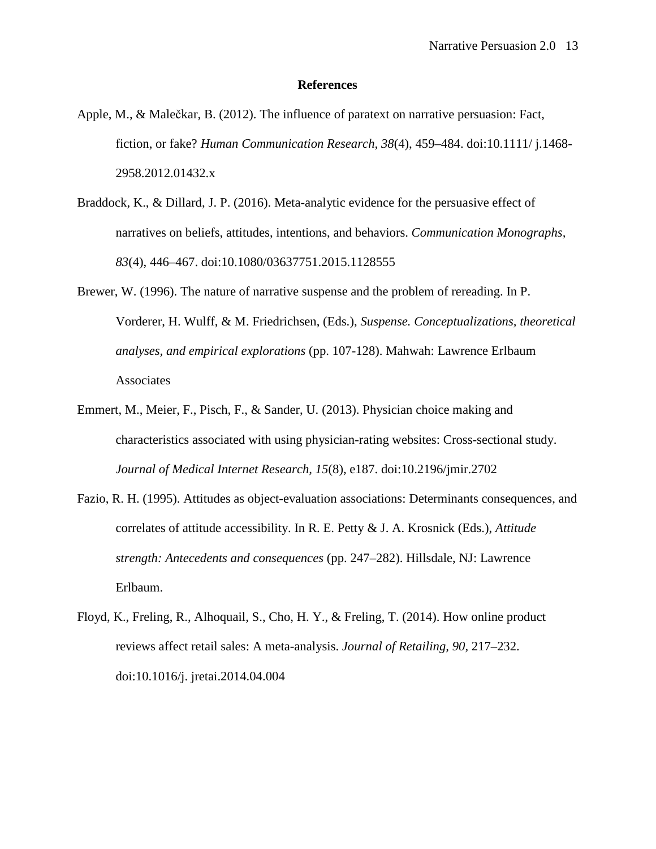#### **References**

- Apple, M., & Malečkar, B. (2012). The influence of paratext on narrative persuasion: Fact, fiction, or fake? *Human Communication Research, 38*(4), 459–484. doi[:10.1111/ j.1468-](http://dx.doi.org/10.1111/j.1468-2958.2012.01432.x) [2958.2012.01432.x](http://dx.doi.org/10.1111/j.1468-2958.2012.01432.x)
- Braddock, K., & Dillard, J. P. (2016). Meta-analytic evidence for the persuasive effect of narratives on beliefs, attitudes, intentions, and behaviors. *Communication Monographs, 83*(4), 446–467. doi[:10.1080/03637751.2015.1128555](http://dx.doi.org/10.1080/03637751.2015.1128555)
- Brewer, W. (1996). The nature of narrative suspense and the problem of rereading. In P. Vorderer, H. Wulff, & M. Friedrichsen, (Eds.), *Suspense. Conceptualizations, theoretical analyses, and empirical explorations* (pp. 107-128). Mahwah: Lawrence Erlbaum Associates
- Emmert, M., Meier, F., Pisch, F., & Sander, U. (2013). Physician choice making and characteristics associated with using physician-rating websites: Cross-sectional study. *Journal of Medical Internet Research, 15*(8), e187. doi[:10.2196/jmir.2702](http://dx.doi.org/10.2196/jmir.2702)
- Fazio, R. H. (1995). Attitudes as object-evaluation associations: Determinants consequences, and correlates of attitude accessibility. In R. E. Petty & J. A. Krosnick (Eds.), *Attitude strength: Antecedents and consequences* (pp. 247–282). Hillsdale, NJ: Lawrence Erlbaum.
- Floyd, K., Freling, R., Alhoquail, S., Cho, H. Y., & Freling, T. (2014). How online product reviews affect retail sales: A meta-analysis. *Journal of Retailing, 90*, 217–232. doi[:10.1016/j. jretai.2014.04.004](http://dx.doi.org/10.1016/j.jretai.2014.04.004)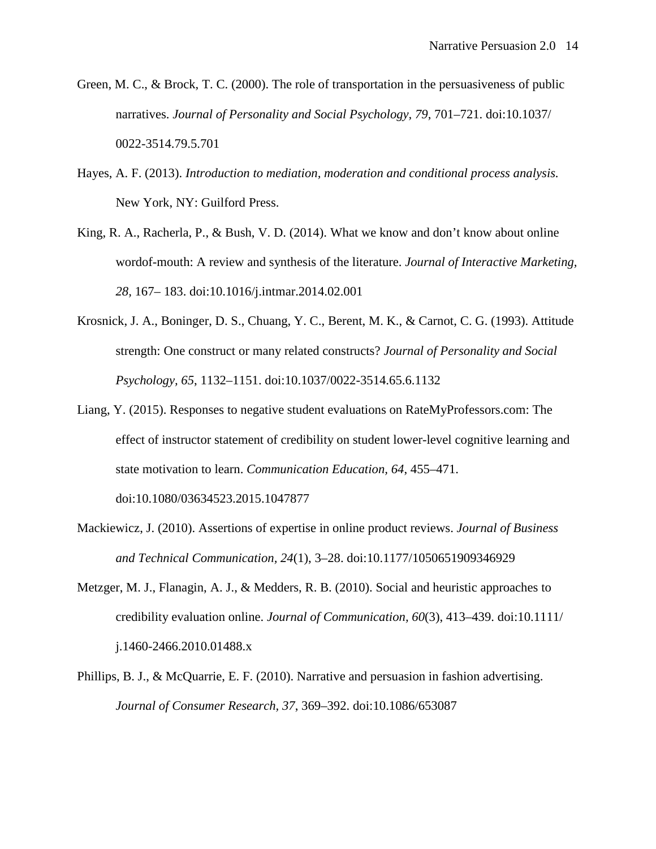- Green, M. C., & Brock, T. C. (2000). The role of transportation in the persuasiveness of public narratives. *Journal of Personality and Social Psychology, 79*, 701–721. doi[:10.1037/](http://dx.doi.org/10.1037/0022-3514.79.5.701)  [0022-3514.79.5.701](http://dx.doi.org/10.1037/0022-3514.79.5.701)
- Hayes, A. F. (2013). *Introduction to mediation, moderation and conditional process analysis.*  New York, NY: Guilford Press.
- King, R. A., Racherla, P., & Bush, V. D. (2014). What we know and don't know about online wordof-mouth: A review and synthesis of the literature. *Journal of Interactive Marketing, 28,* 167– 183. doi[:10.1016/j.intmar.2014.02.001](http://dx.doi.org/10.1016/j.intmar.2014.02.001)
- Krosnick, J. A., Boninger, D. S., Chuang, Y. C., Berent, M. K., & Carnot, C. G. (1993). Attitude strength: One construct or many related constructs? *Journal of Personality and Social Psychology, 65*, 1132–1151. doi[:10.1037/0022-3514.65.6.1132](http://dx.doi.org/10.1037/0022-3514.65.6.1132)
- Liang, Y. (2015). Responses to negative student evaluations on RateMyProfessors.com: The effect of instructor statement of credibility on student lower-level cognitive learning and state motivation to learn. *Communication Education, 64*, 455–471. doi[:10.1080/03634523.2015.1047877](http://dx.doi.org/10.1080/03634523.2015.1047877)
- Mackiewicz, J. (2010). Assertions of expertise in online product reviews. *Journal of Business and Technical Communication, 24*(1), 3–28. doi[:10.1177/1050651909346929](http://dx.doi.org/10.1177/1050651909346929)
- Metzger, M. J., Flanagin, A. J., & Medders, R. B. (2010). Social and heuristic approaches to credibility evaluation online. *Journal of Communication, 60*(3), 413–439. doi[:10.1111/](http://dx.doi.org/10.1111/j.1460-2466.2010.01488.x)  [j.1460-2466.2010.01488.x](http://dx.doi.org/10.1111/j.1460-2466.2010.01488.x)
- Phillips, B. J., & McQuarrie, E. F. (2010). Narrative and persuasion in fashion advertising. *Journal of Consumer Research, 37*, 369–392. doi[:10.1086/653087](http://dx.doi.org/10.1086/653087)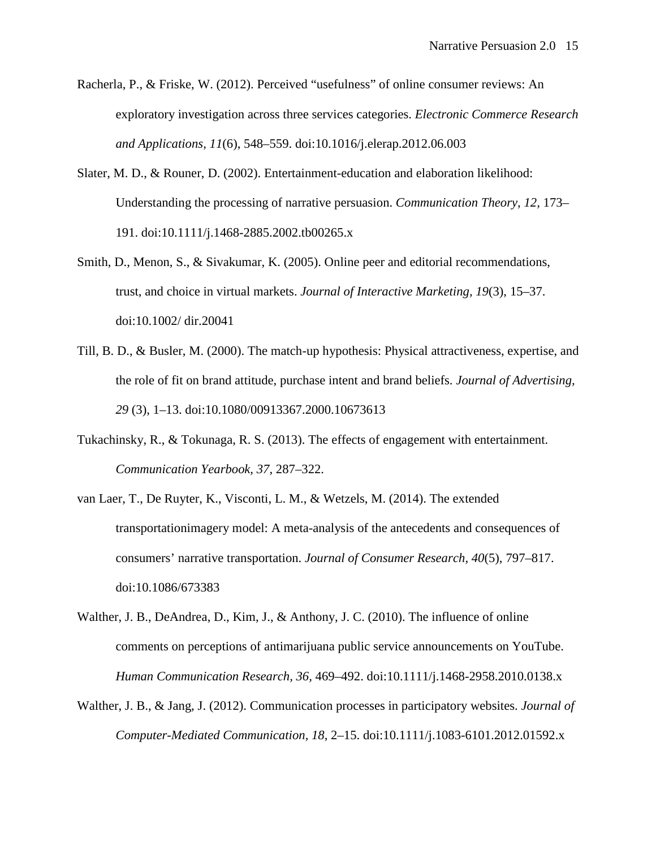- Racherla, P., & Friske, W. (2012). Perceived "usefulness" of online consumer reviews: An exploratory investigation across three services categories. *Electronic Commerce Research and Applications, 11*(6), 548–559. doi[:10.1016/j.elerap.2012.06.003](http://dx.doi.org/10.1016/j.elerap.2012.06.003)
- Slater, M. D., & Rouner, D. (2002). Entertainment-education and elaboration likelihood: Understanding the processing of narrative persuasion. *Communication Theory, 12,* 173– 191. doi[:10.1111/j.1468-2885.2002.tb00265.x](http://dx.doi.org/10.1111/j.1468-2885.2002.tb00265.x)
- Smith, D., Menon, S., & Sivakumar, K. (2005). Online peer and editorial recommendations, trust, and choice in virtual markets. *Journal of Interactive Marketing, 19*(3), 15–37. doi[:10.1002/ dir.20041](http://dx.doi.org/10.1002/dir.20041)
- Till, B. D., & Busler, M. (2000). The match-up hypothesis: Physical attractiveness, expertise, and the role of fit on brand attitude, purchase intent and brand beliefs. *Journal of Advertising, 29* (3), 1–13. doi[:10.1080/00913367.2000.10673613](http://dx.doi.org/10.1080/00913367.2000.10673613)
- Tukachinsky, R., & Tokunaga, R. S. (2013). The effects of engagement with entertainment. *Communication Yearbook, 37*, 287–322.
- van Laer, T., De Ruyter, K., Visconti, L. M., & Wetzels, M. (2014). The extended transportationimagery model: A meta-analysis of the antecedents and consequences of consumers' narrative transportation. *Journal of Consumer Research, 40*(5), 797–817. doi[:10.1086/673383](http://dx.doi.org/10.1086/673383)
- Walther, J. B., DeAndrea, D., Kim, J., & Anthony, J. C. (2010). The influence of online comments on perceptions of antimarijuana public service announcements on YouTube. *Human Communication Research, 36,* 469–492. doi[:10.1111/j.1468-2958.2010.0138.x](http://dx.doi.org/10.1111/j.1468-2958.2010.0138.x)
- Walther, J. B., & Jang, J. (2012). Communication processes in participatory websites. *Journal of Computer-Mediated Communication, 18*, 2–15. doi[:10.1111/j.1083-6101.2012.01592.x](http://dx.doi.org/10.1111/j.1083-6101.2012.01592.x)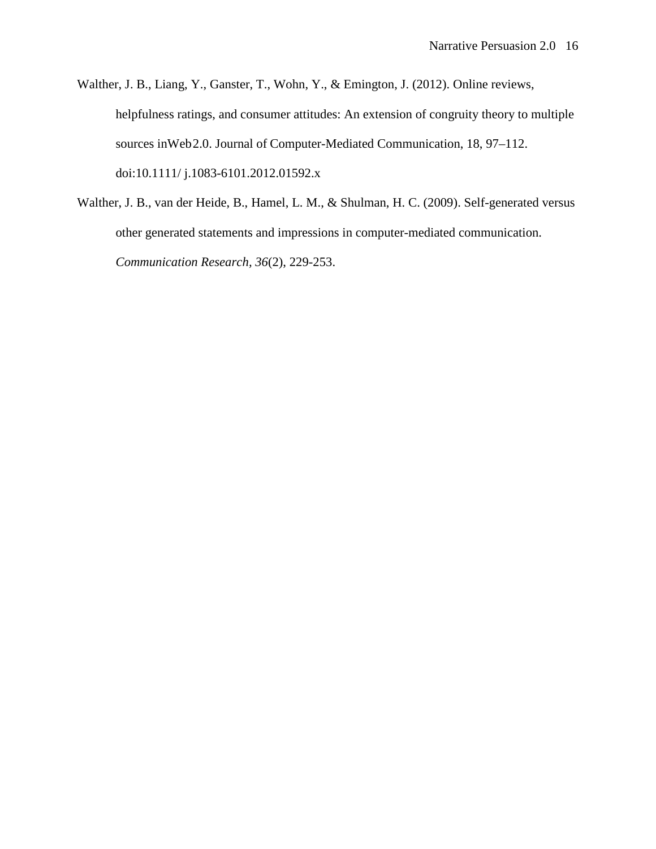- Walther, J. B., Liang, Y., Ganster, T., Wohn, Y., & Emington, J. (2012). Online reviews, helpfulness ratings, and consumer attitudes: An extension of congruity theory to multiple sources inWeb2.0. Journal of Computer-Mediated Communication, 18, 97–112. doi[:10.1111/ j.1083-6101.2012.01592.x](http://dx.doi.org/10.1111/j.1083-6101.2012.01592.x)
- Walther, J. B., van der Heide, B., Hamel, L. M., & Shulman, H. C. (2009). Self-generated versus other generated statements and impressions in computer-mediated communication. *Communication Research, 36*(2), 229-253.